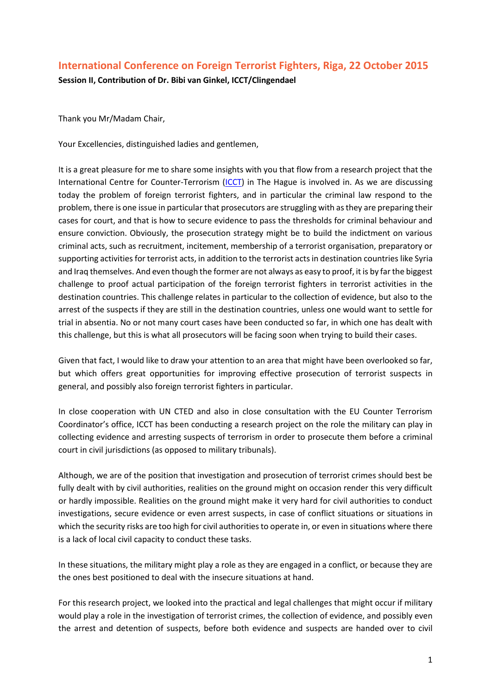## **International Conference on Foreign Terrorist Fighters, Riga, 22 October 2015**

**Session II, Contribution of Dr. Bibi van Ginkel, ICCT/Clingendael**

Thank you Mr/Madam Chair,

Your Excellencies, distinguished ladies and gentlemen,

It is a great pleasure for me to share some insights with you that flow from a research project that the International Centre for Counter-Terrorism [\(ICCT\)](http://www.icct.nl/) in The Hague is involved in. As we are discussing today the problem of foreign terrorist fighters, and in particular the criminal law respond to the problem, there is one issue in particular that prosecutors are struggling with as they are preparing their cases for court, and that is how to secure evidence to pass the thresholds for criminal behaviour and ensure conviction. Obviously, the prosecution strategy might be to build the indictment on various criminal acts, such as recruitment, incitement, membership of a terrorist organisation, preparatory or supporting activities for terrorist acts, in addition to the terrorist acts in destination countries like Syria and Iraq themselves. And even though the former are not always as easy to proof, it is by far the biggest challenge to proof actual participation of the foreign terrorist fighters in terrorist activities in the destination countries. This challenge relates in particular to the collection of evidence, but also to the arrest of the suspects if they are still in the destination countries, unless one would want to settle for trial in absentia. No or not many court cases have been conducted so far, in which one has dealt with this challenge, but this is what all prosecutors will be facing soon when trying to build their cases.

Given that fact, I would like to draw your attention to an area that might have been overlooked so far, but which offers great opportunities for improving effective prosecution of terrorist suspects in general, and possibly also foreign terrorist fighters in particular.

In close cooperation with UN CTED and also in close consultation with the EU Counter Terrorism Coordinator's office, ICCT has been conducting a research project on the role the military can play in collecting evidence and arresting suspects of terrorism in order to prosecute them before a criminal court in civil jurisdictions (as opposed to military tribunals).

Although, we are of the position that investigation and prosecution of terrorist crimes should best be fully dealt with by civil authorities, realities on the ground might on occasion render this very difficult or hardly impossible. Realities on the ground might make it very hard for civil authorities to conduct investigations, secure evidence or even arrest suspects, in case of conflict situations or situations in which the security risks are too high for civil authorities to operate in, or even in situations where there is a lack of local civil capacity to conduct these tasks.

In these situations, the military might play a role as they are engaged in a conflict, or because they are the ones best positioned to deal with the insecure situations at hand.

For this research project, we looked into the practical and legal challenges that might occur if military would play a role in the investigation of terrorist crimes, the collection of evidence, and possibly even the arrest and detention of suspects, before both evidence and suspects are handed over to civil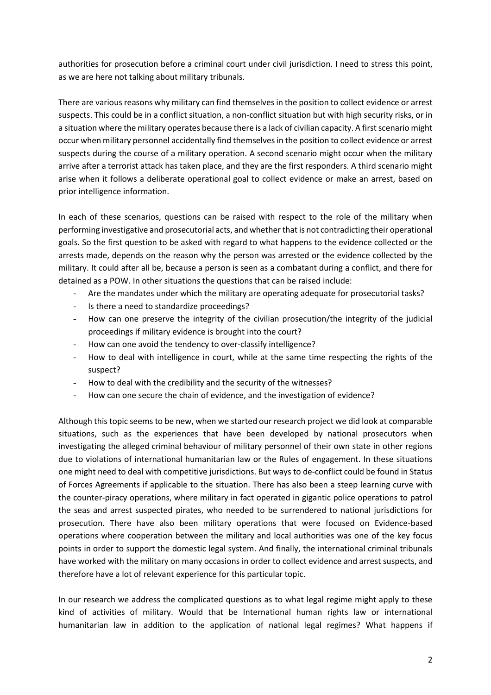authorities for prosecution before a criminal court under civil jurisdiction. I need to stress this point, as we are here not talking about military tribunals.

There are various reasons why military can find themselves in the position to collect evidence or arrest suspects. This could be in a conflict situation, a non-conflict situation but with high security risks, or in a situation where the military operates because there is a lack of civilian capacity. A first scenario might occur when military personnel accidentally find themselves in the position to collect evidence or arrest suspects during the course of a military operation. A second scenario might occur when the military arrive after a terrorist attack has taken place, and they are the first responders. A third scenario might arise when it follows a deliberate operational goal to collect evidence or make an arrest, based on prior intelligence information.

In each of these scenarios, questions can be raised with respect to the role of the military when performing investigative and prosecutorial acts, and whether that is not contradicting their operational goals. So the first question to be asked with regard to what happens to the evidence collected or the arrests made, depends on the reason why the person was arrested or the evidence collected by the military. It could after all be, because a person is seen as a combatant during a conflict, and there for detained as a POW. In other situations the questions that can be raised include:

- Are the mandates under which the military are operating adequate for prosecutorial tasks?
- Is there a need to standardize proceedings?
- How can one preserve the integrity of the civilian prosecution/the integrity of the judicial proceedings if military evidence is brought into the court?
- How can one avoid the tendency to over-classify intelligence?
- How to deal with intelligence in court, while at the same time respecting the rights of the suspect?
- How to deal with the credibility and the security of the witnesses?
- How can one secure the chain of evidence, and the investigation of evidence?

Although this topic seems to be new, when we started our research project we did look at comparable situations, such as the experiences that have been developed by national prosecutors when investigating the alleged criminal behaviour of military personnel of their own state in other regions due to violations of international humanitarian law or the Rules of engagement. In these situations one might need to deal with competitive jurisdictions. But ways to de-conflict could be found in Status of Forces Agreements if applicable to the situation. There has also been a steep learning curve with the counter-piracy operations, where military in fact operated in gigantic police operations to patrol the seas and arrest suspected pirates, who needed to be surrendered to national jurisdictions for prosecution. There have also been military operations that were focused on Evidence-based operations where cooperation between the military and local authorities was one of the key focus points in order to support the domestic legal system. And finally, the international criminal tribunals have worked with the military on many occasions in order to collect evidence and arrest suspects, and therefore have a lot of relevant experience for this particular topic.

In our research we address the complicated questions as to what legal regime might apply to these kind of activities of military. Would that be International human rights law or international humanitarian law in addition to the application of national legal regimes? What happens if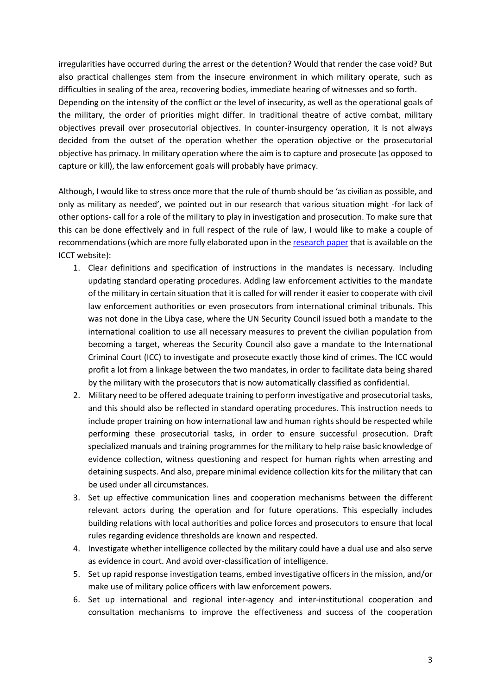irregularities have occurred during the arrest or the detention? Would that render the case void? But also practical challenges stem from the insecure environment in which military operate, such as difficulties in sealing of the area, recovering bodies, immediate hearing of witnesses and so forth. Depending on the intensity of the conflict or the level of insecurity, as well as the operational goals of the military, the order of priorities might differ. In traditional theatre of active combat, military objectives prevail over prosecutorial objectives. In counter-insurgency operation, it is not always decided from the outset of the operation whether the operation objective or the prosecutorial objective has primacy. In military operation where the aim is to capture and prosecute (as opposed to capture or kill), the law enforcement goals will probably have primacy.

Although, I would like to stress once more that the rule of thumb should be 'as civilian as possible, and only as military as needed', we pointed out in our research that various situation might -for lack of other options- call for a role of the military to play in investigation and prosecution. To make sure that this can be done effectively and in full respect of the rule of law, I would like to make a couple of recommendations (which are more fully elaborated upon in the [research paper](http://icct.nl/publication/the-role-of-the-military-in-securing-suspects-and-evidence-in-the-prosecution-of-terrorism-cases-before-civilian-courts-legal-and-practical-challenges/) that is available on the ICCT website):

- 1. Clear definitions and specification of instructions in the mandates is necessary. Including updating standard operating procedures. Adding law enforcement activities to the mandate of the military in certain situation that it is called for will render it easier to cooperate with civil law enforcement authorities or even prosecutors from international criminal tribunals. This was not done in the Libya case, where the UN Security Council issued both a mandate to the international coalition to use all necessary measures to prevent the civilian population from becoming a target, whereas the Security Council also gave a mandate to the International Criminal Court (ICC) to investigate and prosecute exactly those kind of crimes. The ICC would profit a lot from a linkage between the two mandates, in order to facilitate data being shared by the military with the prosecutors that is now automatically classified as confidential.
- 2. Military need to be offered adequate training to perform investigative and prosecutorial tasks, and this should also be reflected in standard operating procedures. This instruction needs to include proper training on how international law and human rights should be respected while performing these prosecutorial tasks, in order to ensure successful prosecution. Draft specialized manuals and training programmes for the military to help raise basic knowledge of evidence collection, witness questioning and respect for human rights when arresting and detaining suspects. And also, prepare minimal evidence collection kits for the military that can be used under all circumstances.
- 3. Set up effective communication lines and cooperation mechanisms between the different relevant actors during the operation and for future operations. This especially includes building relations with local authorities and police forces and prosecutors to ensure that local rules regarding evidence thresholds are known and respected.
- 4. Investigate whether intelligence collected by the military could have a dual use and also serve as evidence in court. And avoid over-classification of intelligence.
- 5. Set up rapid response investigation teams, embed investigative officers in the mission, and/or make use of military police officers with law enforcement powers.
- 6. Set up international and regional inter-agency and inter-institutional cooperation and consultation mechanisms to improve the effectiveness and success of the cooperation